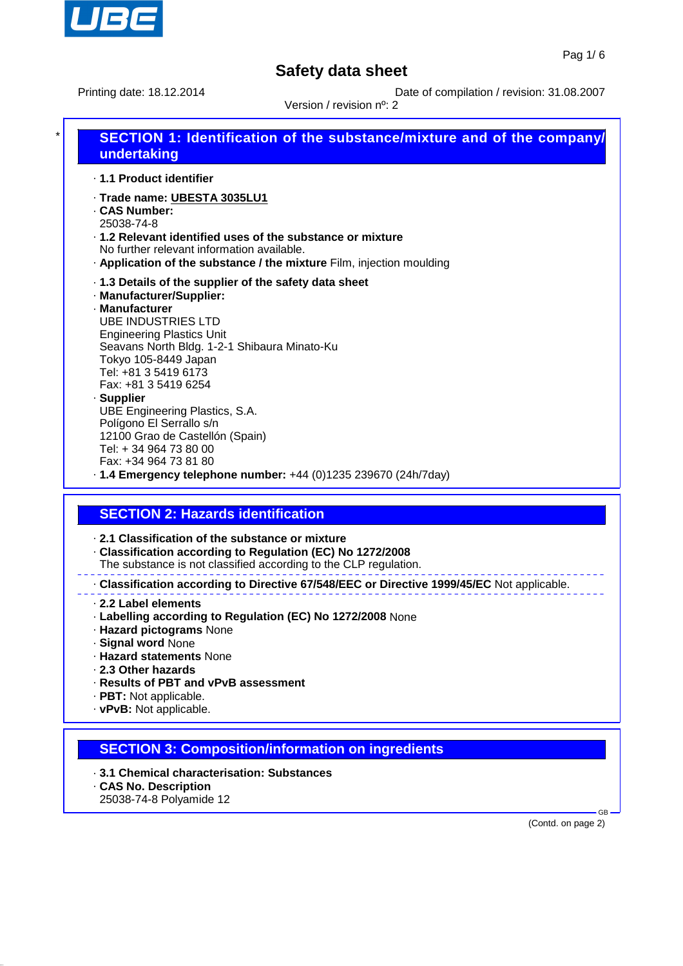

Printing date: 18.12.2014 Date of compilation / revision: 31.08.2007

Version / revision nº: 2

# **SECTION 1: Identification of the substance/mixture and of the company/ undertaking**

· **1.1 Product identifier**

- · **Trade name: UBESTA 3035LU1**
- · **CAS Number:**
- 25038-74-8 · **1.2 Relevant identified uses of the substance or mixture**
- No further relevant information available.
- · **Application of the substance / the mixture** Film, injection moulding
- · **1.3 Details of the supplier of the safety data sheet**
- · **Manufacturer/Supplier:**
- · **Manufacturer** UBE INDUSTRIES LTD Engineering Plastics Unit Seavans North Bldg. 1-2-1 Shibaura Minato-Ku Tokyo 105-8449 Japan Tel: +81 3 5419 6173 Fax: +81 3 5419 6254 · **Supplier** UBE Engineering Plastics, S.A. Polígono El Serrallo s/n 12100 Grao de Castellón (Spain)
	- Tel: + 34 964 73 80 00 Fax: +34 964 73 81 80
- · **1.4 Emergency telephone number:** +44 (0)1235 239670 (24h/7day)

## **SECTION 2: Hazards identification**

- · **2.1 Classification of the substance or mixture**
- · **Classification according to Regulation (EC) No 1272/2008**
- The substance is not classified according to the CLP regulation.

· **Classification according to Directive 67/548/EEC or Directive 1999/45/EC** Not applicable.

- · **2.2 Label elements**
- · **Labelling according to Regulation (EC) No 1272/2008** None
- · **Hazard pictograms** None
- · **Signal word** None
- · **Hazard statements** None
- · **2.3 Other hazards**
- · **Results of PBT and vPvB assessment**
- · **PBT:** Not applicable.
- · **vPvB:** Not applicable.

## **SECTION 3: Composition/information on ingredients**

- · **3.1 Chemical characterisation: Substances**
- · **CAS No. Description**
- 25038-74-8 Polyamide 12

(Contd. on page 2)

GB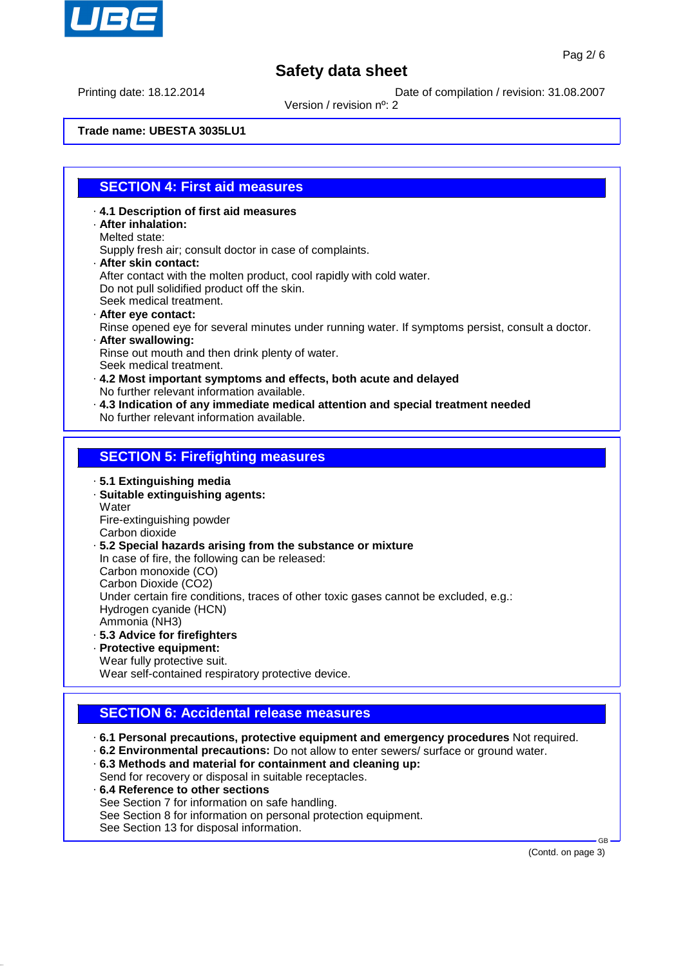

Printing date: 18.12.2014 Date of compilation / revision: 31.08.2007

Version / revision nº: 2

**Trade name: UBESTA 3035LU1**

#### **SECTION 4: First aid measures**

- · **4.1 Description of first aid measures**
- · **After inhalation:**
- Melted state:

Supply fresh air; consult doctor in case of complaints.

- · **After skin contact:** After contact with the molten product, cool rapidly with cold water. Do not pull solidified product off the skin. Seek medical treatment.
- · **After eye contact:** Rinse opened eye for several minutes under running water. If symptoms persist, consult a doctor. · **After swallowing:**
- Rinse out mouth and then drink plenty of water. Seek medical treatment.
- · **4.2 Most important symptoms and effects, both acute and delayed** No further relevant information available.
- · **4.3 Indication of any immediate medical attention and special treatment needed** No further relevant information available.

#### **SECTION 5: Firefighting measures**

- · **5.1 Extinguishing media**
- · **Suitable extinguishing agents: Water** Fire-extinguishing powder

Carbon dioxide

· **5.2 Special hazards arising from the substance or mixture** In case of fire, the following can be released: Carbon monoxide (CO) Carbon Dioxide (CO2) Under certain fire conditions, traces of other toxic gases cannot be excluded, e.g.: Hydrogen cyanide (HCN) Ammonia (NH3) · **5.3 Advice for firefighters**

- · **Protective equipment:**
- Wear fully protective suit.

Wear self-contained respiratory protective device.

#### **SECTION 6: Accidental release measures**

- · **6.1 Personal precautions, protective equipment and emergency procedures** Not required.
- · **6.2 Environmental precautions:** Do not allow to enter sewers/ surface or ground water.
- · **6.3 Methods and material for containment and cleaning up:** Send for recovery or disposal in suitable receptacles.
- · **6.4 Reference to other sections**
- See Section 7 for information on safe handling.
- See Section 8 for information on personal protection equipment.

See Section 13 for disposal information.

(Contd. on page 3)

GB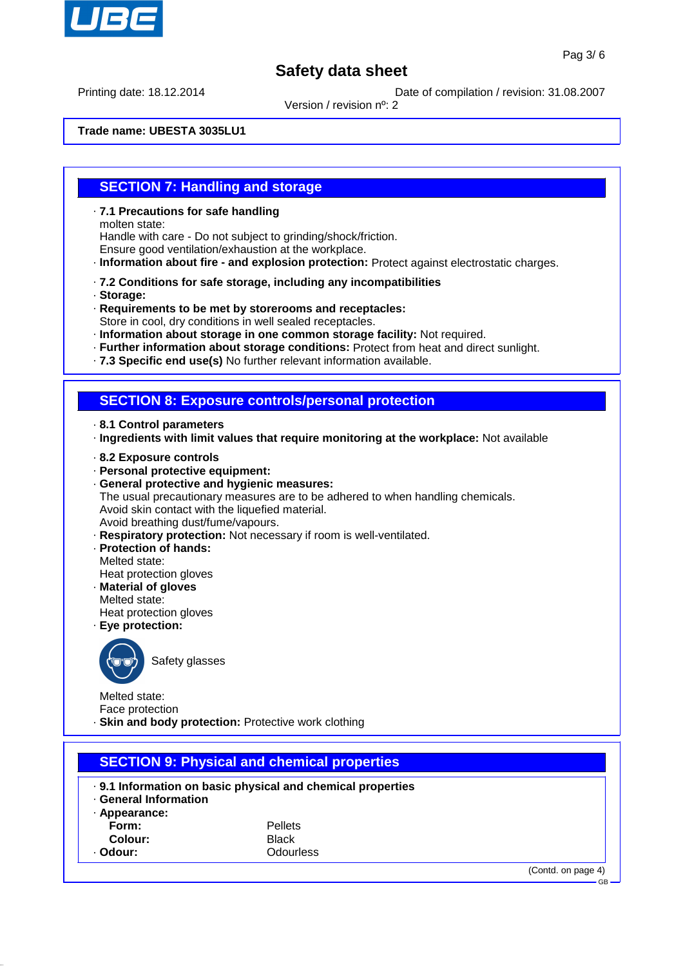

Printing date: 18.12.2014 Date of compilation / revision: 31.08.2007

Version / revision nº: 2

**Trade name: UBESTA 3035LU1**

#### **SECTION 7: Handling and storage**

· **7.1 Precautions for safe handling**

molten state:

Handle with care - Do not subject to grinding/shock/friction. Ensure good ventilation/exhaustion at the workplace.

· **Information about fire - and explosion protection:** Protect against electrostatic charges.

- · **7.2 Conditions for safe storage, including any incompatibilities**
- · **Storage:**
- · **Requirements to be met by storerooms and receptacles:**

Store in cool, dry conditions in well sealed receptacles.

- · **Information about storage in one common storage facility:** Not required.
- · **Further information about storage conditions:** Protect from heat and direct sunlight.
- · **7.3 Specific end use(s)** No further relevant information available.

#### **SECTION 8: Exposure controls/personal protection**

- · **8.1 Control parameters**
- · **Ingredients with limit values that require monitoring at the workplace:** Not available
- · **8.2 Exposure controls**
- · **Personal protective equipment:**

· **General protective and hygienic measures:** The usual precautionary measures are to be adhered to when handling chemicals. Avoid skin contact with the liquefied material. Avoid breathing dust/fume/vapours.

- · **Respiratory protection:** Not necessary if room is well-ventilated.
- · **Protection of hands:** Melted state: Heat protection gloves
- · **Material of gloves**

Melted state: Heat protection gloves

· **Eye protection:**



Safety glasses

Melted state: Face protection

· **Skin and body protection:** Protective work clothing

## **SECTION 9: Physical and chemical properties**

- · **9.1 Information on basic physical and chemical properties**
- · **General Information**
- · **Appearance:**
	-
- **Form:** Pellets **Colour:** Black
- · **Odour:** Odourless

(Contd. on page 4)

GB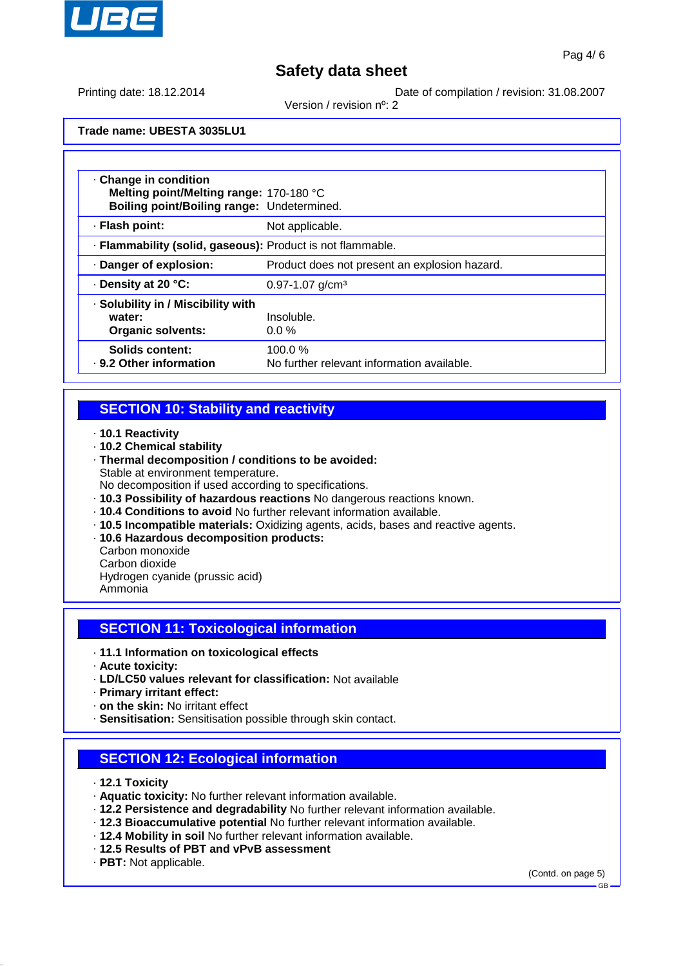

Version / revision nº: 2

Printing date: 18.12.2014 Date of compilation / revision: 31.08.2007

**Trade name: UBESTA 3035LU1**

| . Change in condition<br>Melting point/Melting range: 170-180 °C<br>Boiling point/Boiling range: Undetermined. |                                                      |  |
|----------------------------------------------------------------------------------------------------------------|------------------------------------------------------|--|
| · Flash point:                                                                                                 | Not applicable.                                      |  |
| · Flammability (solid, gaseous): Product is not flammable.                                                     |                                                      |  |
| · Danger of explosion:                                                                                         | Product does not present an explosion hazard.        |  |
| Density at 20 °C:                                                                                              | $0.97 - 1.07$ g/cm <sup>3</sup>                      |  |
| · Solubility in / Miscibility with<br>Insoluble.<br>water:<br><b>Organic solvents:</b><br>$0.0\%$              |                                                      |  |
| Solids content:<br>. 9.2 Other information                                                                     | 100.0%<br>No further relevant information available. |  |

## **SECTION 10: Stability and reactivity**

- · **10.1 Reactivity**
- · **10.2 Chemical stability**
- · **Thermal decomposition / conditions to be avoided:** Stable at environment temperature.
- No decomposition if used according to specifications.
- · **10.3 Possibility of hazardous reactions** No dangerous reactions known.
- · **10.4 Conditions to avoid** No further relevant information available.
- · **10.5 Incompatible materials:** Oxidizing agents, acids, bases and reactive agents.
- · **10.6 Hazardous decomposition products:**
- Carbon monoxide
- Carbon dioxide

Hydrogen cyanide (prussic acid)

Ammonia

## **SECTION 11: Toxicological information**

- · **11.1 Information on toxicological effects**
- · **Acute toxicity:**
- · **LD/LC50 values relevant for classification:** Not available
- · **Primary irritant effect:**
- · **on the skin:** No irritant effect
- · **Sensitisation:** Sensitisation possible through skin contact.

## **SECTION 12: Ecological information**

- · **12.1 Toxicity**
- · **Aquatic toxicity:** No further relevant information available.
- · **12.2 Persistence and degradability** No further relevant information available.
- · **12.3 Bioaccumulative potential** No further relevant information available.
- · **12.4 Mobility in soil** No further relevant information available.
- · **12.5 Results of PBT and vPvB assessment**
- · **PBT:** Not applicable.

(Contd. on page 5)

GB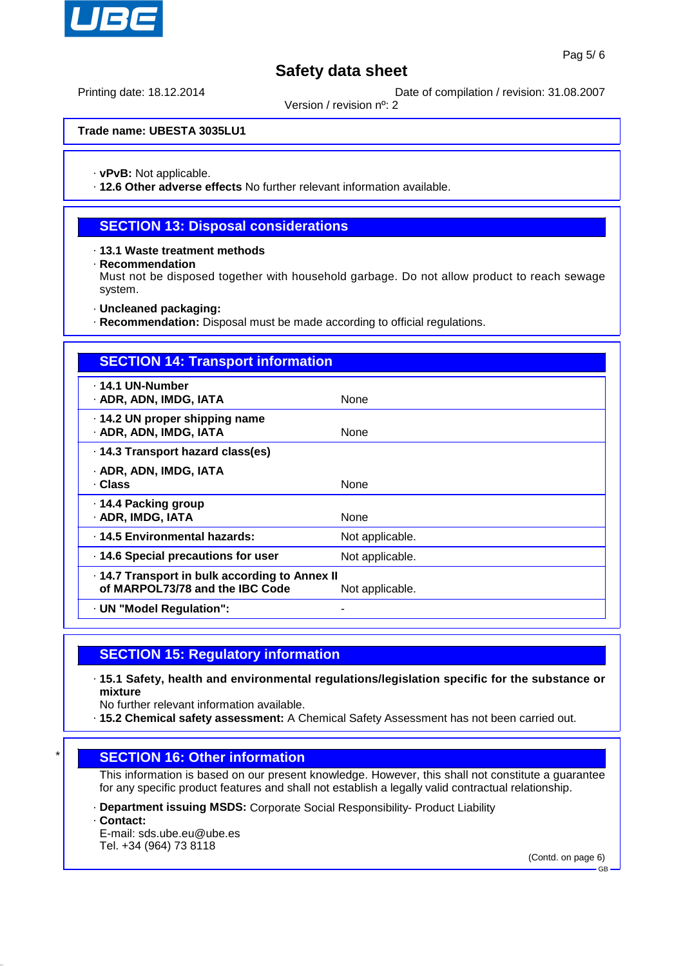

Printing date: 18.12.2014 Date of compilation / revision: 31.08.2007

Version / revision nº: 2

**Trade name: UBESTA 3035LU1**

· **vPvB:** Not applicable.

· **12.6 Other adverse effects** No further relevant information available.

#### **SECTION 13: Disposal considerations**

· **13.1 Waste treatment methods**

· **Recommendation**

Must not be disposed together with household garbage. Do not allow product to reach sewage system.

· **Uncleaned packaging:**

· **Recommendation:** Disposal must be made according to official regulations.

| <b>SECTION 14: Transport information</b>                                        |                 |  |
|---------------------------------------------------------------------------------|-----------------|--|
| ⋅ 14.1 UN-Number<br>· ADR, ADN, IMDG, IATA                                      | None            |  |
| · 14.2 UN proper shipping name<br>· ADR, ADN, IMDG, IATA                        | None            |  |
| · 14.3 Transport hazard class(es)                                               |                 |  |
| · ADR, ADN, IMDG, IATA<br>· Class                                               | None            |  |
| ⋅ 14.4 Packing group<br>· ADR, IMDG, IATA                                       | None            |  |
| · 14.5 Environmental hazards:                                                   | Not applicable. |  |
| 14.6 Special precautions for user                                               | Not applicable. |  |
| 14.7 Transport in bulk according to Annex II<br>of MARPOL73/78 and the IBC Code | Not applicable. |  |
| · UN "Model Regulation":                                                        |                 |  |

#### **SECTION 15: Regulatory information**

· **15.1 Safety, health and environmental regulations/legislation specific for the substance or mixture**

No further relevant information available.

· **15.2 Chemical safety assessment:** A Chemical Safety Assessment has not been carried out.

#### **SECTION 16: Other information**

This information is based on our present knowledge. However, this shall not constitute a guarantee for any specific product features and shall not establish a legally valid contractual relationship.

- · **Department issuing MSDS:** Corporate Social Responsibility- Product Liability
- · **Contact:**
- E-mail: sds.ube.eu@ube.es Tel. +34 (964) 73 8118

(Contd. on page 6)

GB